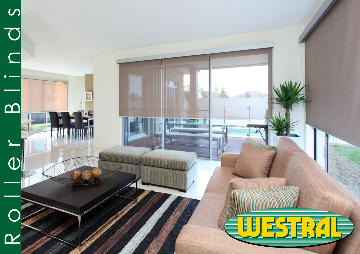